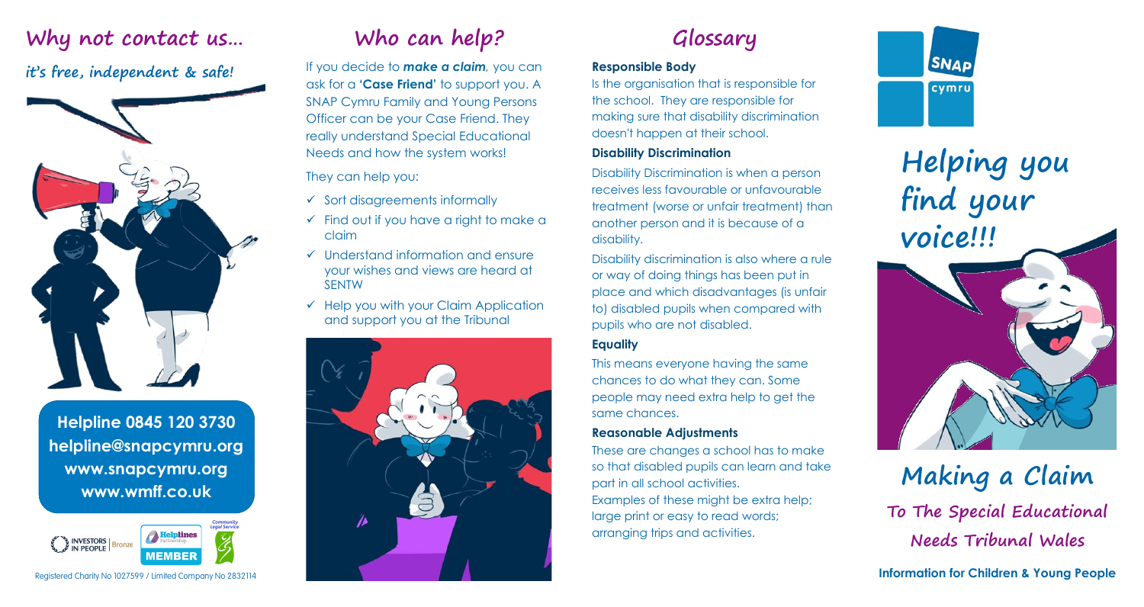### **Why not contact us…**

### **it's free, independent & safe!**



**Helpline 0845 120 3730 helpline@snapcymru.org www.snapcymru.org www.wmff.co.uk**



Registered Charity No 1027599 / Limited Company No 2832114

# **Who can help?**

If you decide to *make a claim,* you can ask for a **'Case Friend'** to support you. A SNAP Cymru Family and Young Persons Officer can be your Case Friend. They really understand Special Educational Needs and how the system works!

#### They can help you:

- $\checkmark$  Sort disagreements informally
- $\checkmark$  Find out if you have a right to make a claim
- $\checkmark$  Understand information and ensure your wishes and views are heard at SENTW
- $\checkmark$  Help you with your Claim Application and support you at the Tribunal



## **Glossary**

#### **Responsible Body**

Is the organisation that is responsible for the school. They are responsible for making sure that disability discrimination doesn't happen at their school.

#### **Disability Discrimination**

Disability Discrimination is when a person receives less favourable or unfavourable treatment (worse or unfair treatment) than another person and it is because of a disability.

Disability discrimination is also where a rule or way of doing things has been put in place and which disadvantages (is unfair to) disabled pupils when compared with pupils who are not disabled.

#### **Equality**

This means everyone having the same chances to do what they can. Some people may need extra help to get the same chances.

#### **Reasonable Adjustments**

These are changes a school has to make so that disabled pupils can learn and take part in all school activities. Examples of these might be extra help; large print or easy to read words; arranging trips and activities.



**Helping you find your voice!!!**

**Making a Claim To The Special Educational Needs Tribunal Wales**

**Information for Children & Young People**